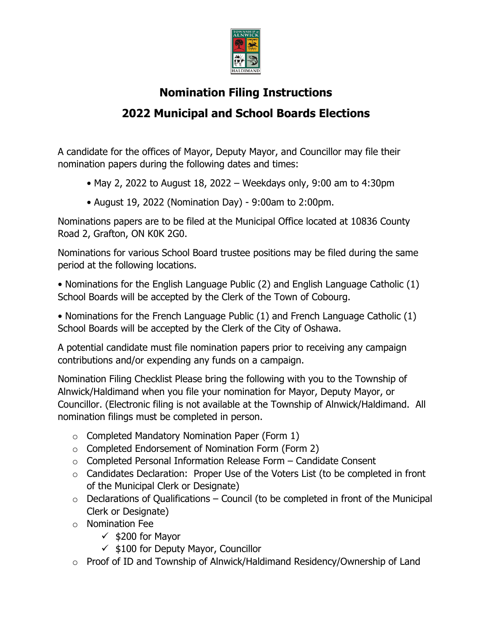

## **Nomination Filing Instructions 2022 Municipal and School Boards Elections**

A candidate for the offices of Mayor, Deputy Mayor, and Councillor may file their nomination papers during the following dates and times:

- May 2, 2022 to August 18, 2022 Weekdays only, 9:00 am to 4:30pm
- August 19, 2022 (Nomination Day) 9:00am to 2:00pm.

Nominations papers are to be filed at the Municipal Office located at 10836 County Road 2, Grafton, ON K0K 2G0.

Nominations for various School Board trustee positions may be filed during the same period at the following locations.

• Nominations for the English Language Public (2) and English Language Catholic (1) School Boards will be accepted by the Clerk of the Town of Cobourg.

• Nominations for the French Language Public (1) and French Language Catholic (1) School Boards will be accepted by the Clerk of the City of Oshawa.

A potential candidate must file nomination papers prior to receiving any campaign contributions and/or expending any funds on a campaign.

Nomination Filing Checklist Please bring the following with you to the Township of Alnwick/Haldimand when you file your nomination for Mayor, Deputy Mayor, or Councillor. (Electronic filing is not available at the Township of Alnwick/Haldimand. All nomination filings must be completed in person.

- $\circ$  Completed Mandatory Nomination Paper (Form 1)
- o Completed Endorsement of Nomination Form (Form 2)
- o Completed Personal Information Release Form Candidate Consent
- o Candidates Declaration: Proper Use of the Voters List (to be completed in front of the Municipal Clerk or Designate)
- $\circ$  Declarations of Qualifications Council (to be completed in front of the Municipal Clerk or Designate)
- o Nomination Fee
	- $\times$  \$200 for Mavor
	- $\checkmark$  \$100 for Deputy Mayor, Councillor
- o Proof of ID and Township of Alnwick/Haldimand Residency/Ownership of Land